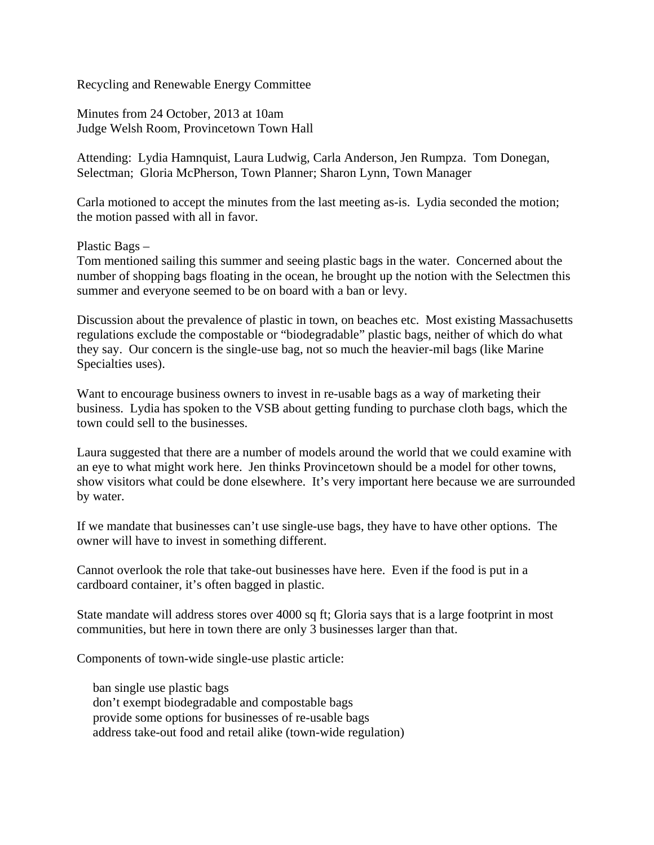Recycling and Renewable Energy Committee

Minutes from 24 October, 2013 at 10am Judge Welsh Room, Provincetown Town Hall

Attending: Lydia Hamnquist, Laura Ludwig, Carla Anderson, Jen Rumpza. Tom Donegan, Selectman; Gloria McPherson, Town Planner; Sharon Lynn, Town Manager

Carla motioned to accept the minutes from the last meeting as-is. Lydia seconded the motion; the motion passed with all in favor.

Plastic Bags –

Tom mentioned sailing this summer and seeing plastic bags in the water. Concerned about the number of shopping bags floating in the ocean, he brought up the notion with the Selectmen this summer and everyone seemed to be on board with a ban or levy.

Discussion about the prevalence of plastic in town, on beaches etc. Most existing Massachusetts regulations exclude the compostable or "biodegradable" plastic bags, neither of which do what they say. Our concern is the single-use bag, not so much the heavier-mil bags (like Marine Specialties uses).

Want to encourage business owners to invest in re-usable bags as a way of marketing their business. Lydia has spoken to the VSB about getting funding to purchase cloth bags, which the town could sell to the businesses.

Laura suggested that there are a number of models around the world that we could examine with an eye to what might work here. Jen thinks Provincetown should be a model for other towns, show visitors what could be done elsewhere. It's very important here because we are surrounded by water.

If we mandate that businesses can't use single-use bags, they have to have other options. The owner will have to invest in something different.

Cannot overlook the role that take-out businesses have here. Even if the food is put in a cardboard container, it's often bagged in plastic.

State mandate will address stores over 4000 sq ft; Gloria says that is a large footprint in most communities, but here in town there are only 3 businesses larger than that.

Components of town-wide single-use plastic article:

 ban single use plastic bags don't exempt biodegradable and compostable bags provide some options for businesses of re-usable bags address take-out food and retail alike (town-wide regulation)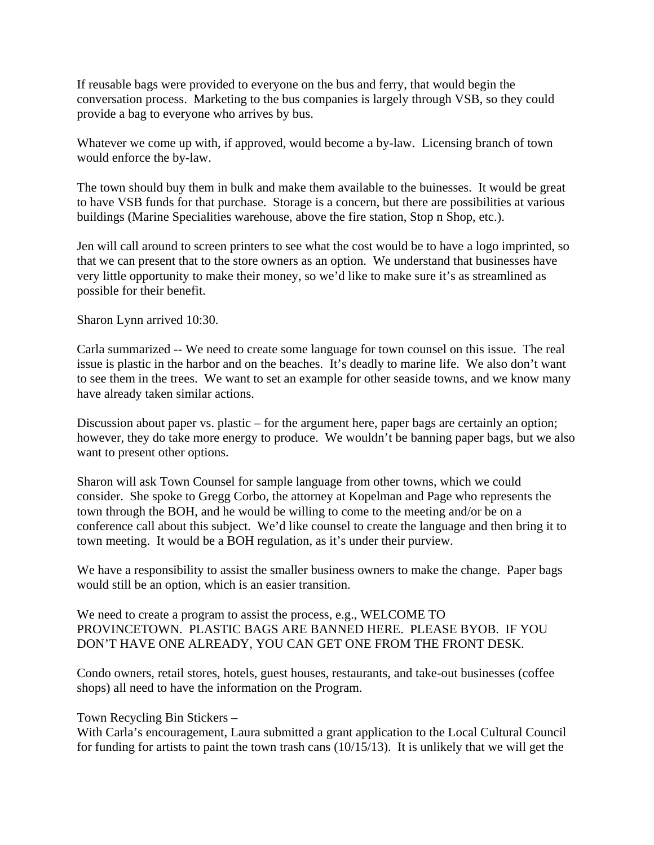If reusable bags were provided to everyone on the bus and ferry, that would begin the conversation process. Marketing to the bus companies is largely through VSB, so they could provide a bag to everyone who arrives by bus.

Whatever we come up with, if approved, would become a by-law. Licensing branch of town would enforce the by-law.

The town should buy them in bulk and make them available to the buinesses. It would be great to have VSB funds for that purchase. Storage is a concern, but there are possibilities at various buildings (Marine Specialities warehouse, above the fire station, Stop n Shop, etc.).

Jen will call around to screen printers to see what the cost would be to have a logo imprinted, so that we can present that to the store owners as an option. We understand that businesses have very little opportunity to make their money, so we'd like to make sure it's as streamlined as possible for their benefit.

## Sharon Lynn arrived 10:30.

Carla summarized -- We need to create some language for town counsel on this issue. The real issue is plastic in the harbor and on the beaches. It's deadly to marine life. We also don't want to see them in the trees. We want to set an example for other seaside towns, and we know many have already taken similar actions.

Discussion about paper vs. plastic – for the argument here, paper bags are certainly an option; however, they do take more energy to produce. We wouldn't be banning paper bags, but we also want to present other options.

Sharon will ask Town Counsel for sample language from other towns, which we could consider. She spoke to Gregg Corbo, the attorney at Kopelman and Page who represents the town through the BOH, and he would be willing to come to the meeting and/or be on a conference call about this subject. We'd like counsel to create the language and then bring it to town meeting. It would be a BOH regulation, as it's under their purview.

We have a responsibility to assist the smaller business owners to make the change. Paper bags would still be an option, which is an easier transition.

We need to create a program to assist the process, e.g., WELCOME TO PROVINCETOWN. PLASTIC BAGS ARE BANNED HERE. PLEASE BYOB. IF YOU DON'T HAVE ONE ALREADY, YOU CAN GET ONE FROM THE FRONT DESK.

Condo owners, retail stores, hotels, guest houses, restaurants, and take-out businesses (coffee shops) all need to have the information on the Program.

Town Recycling Bin Stickers –

With Carla's encouragement, Laura submitted a grant application to the Local Cultural Council for funding for artists to paint the town trash cans (10/15/13). It is unlikely that we will get the